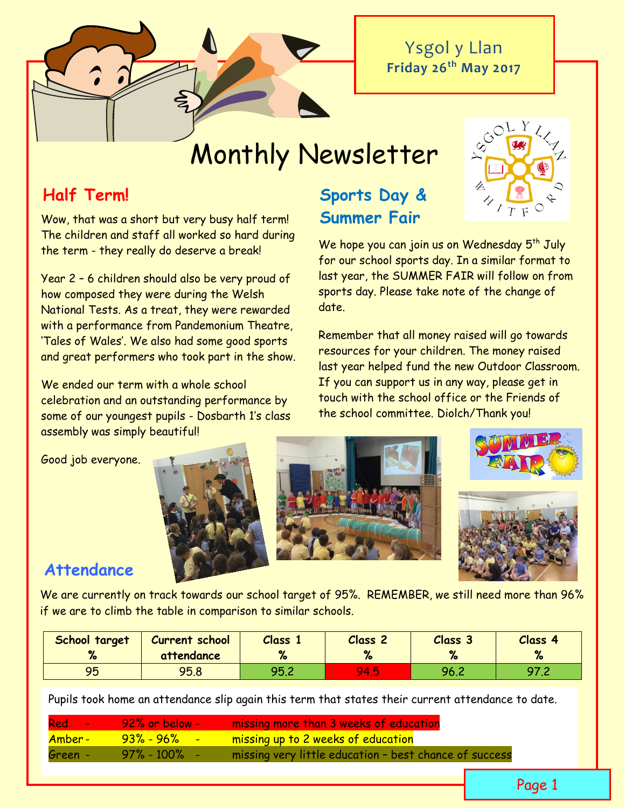Ysgol y Llan **Friday 26th May 2017**

# Monthly Newsletter

**Summer Fair**

# **Half Term! Sports Day &**

Wow, that was a short but very busy half term! The children and staff all worked so hard during the term - they really do deserve a break!

Year 2 – 6 children should also be very proud of how composed they were during the Welsh National Tests. As a treat, they were rewarded with a performance from Pandemonium Theatre, 'Tales of Wales'. We also had some good sports and great performers who took part in the show.

We ended our term with a whole school celebration and an outstanding performance by some of our youngest pupils - Dosbarth 1's class assembly was simply beautiful!

#### Good job everyone.







# **Attendance**

We are currently on track towards our school target of 95%. REMEMBER, we still need more than 96% if we are to climb the table in comparison to similar schools.

| School target<br>67 | Current school<br>attendance | Class 1<br>70 | Class <sub>2</sub> | Class 3 | Class 4 |
|---------------------|------------------------------|---------------|--------------------|---------|---------|
| 95                  | 95.8                         | <b>QR2</b>    | V.<br><b>ALC</b>   | 96.2    | O7 2    |

Pupils took home an attendance slip again this term that states their current attendance to date.

|         | <b>Red - 92% or below -</b> | missing more than 3 weeks of education                 |
|---------|-----------------------------|--------------------------------------------------------|
| Amber - | <mark>93%-96% -</mark>      | missing up to 2 weeks of education                     |
| Green - | $97\%$ - 100% -             | missing very little education - best chance of success |



We hope you can join us on Wednesday  $5<sup>th</sup>$  July for our school sports day. In a similar format to last year, the SUMMER FAIR will follow on from sports day. Please take note of the change of date.

Remember that all money raised will go towards resources for your children. The money raised last year helped fund the new Outdoor Classroom. If you can support us in any way, please get in touch with the school office or the Friends of the school committee. Diolch/Thank you!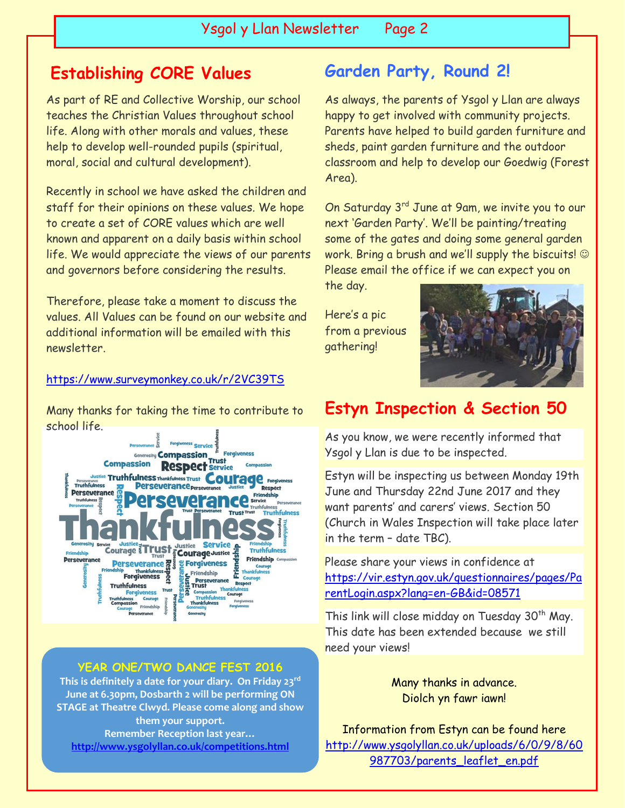# **Establishing CORE Values**

As part of RE and Collective Worship, our school teaches the Christian Values throughout school life. Along with other morals and values, these help to develop well-rounded pupils (spiritual, moral, social and cultural development).

Recently in school we have asked the children and staff for their opinions on these values. We hope to create a set of CORE values which are well known and apparent on a daily basis within school life. We would appreciate the views of our parents and governors before considering the results.

Therefore, please take a moment to discuss the values. All Values can be found on our website and additional information will be emailed with this newsletter.

#### <https://www.surveymonkey.co.uk/r/2VC39TS>

Many thanks for taking the time to contribute to school life.



#### **YEAR ONE/TWO DANCE FEST 2016**

**This is definitely a date for your diary. On Friday 23rd June at 6.30pm, Dosbarth 2 will be performing ON STAGE at Theatre Clwyd. Please come along and show them your support. Remember Reception last year… <http://www.ysgolyllan.co.uk/competitions.html>**

# **Garden Party, Round 2!**

As always, the parents of Ysgol y Llan are always happy to get involved with community projects. Parents have helped to build garden furniture and sheds, paint garden furniture and the outdoor classroom and help to develop our Goedwig (Forest Area).

On Saturday 3<sup>rd</sup> June at 9am, we invite you to our next 'Garden Party'. We'll be painting/treating some of the gates and doing some general garden work. Bring a brush and we'll supply the biscuits!  $\odot$ Please email the office if we can expect you on

the day.

Here's a pic from a previous gathering!



# **Estyn Inspection & Section 50**

As you know, we were recently informed that Ysgol y Llan is due to be inspected.

Estyn will be inspecting us between Monday 19th June and Thursday 22nd June 2017 and they want parents' and carers' views. Section 50 (Church in Wales Inspection will take place later in the term – date TBC).

Please share your views in confidence at [https://vir.estyn.gov.uk/questionnaires/pages/Pa](https://vir.estyn.gov.uk/questionnaires/pages/ParentLogin.aspx?lang=en-GB&id=08571) [rentLogin.aspx?lang=en-GB&id=08571](https://vir.estyn.gov.uk/questionnaires/pages/ParentLogin.aspx?lang=en-GB&id=08571)

This link will close midday on Tuesday 30<sup>th</sup> May. This date has been extended because we still need your views!

> Many thanks in advance. Diolch yn fawr iawn!

Information from Estyn can be found here [http://www.ysgolyllan.co.uk/uploads/6/0/9/8/60](http://www.ysgolyllan.co.uk/uploads/6/0/9/8/60987703/parents_leaflet_en.pdf) 987703/parents leaflet en.pdf